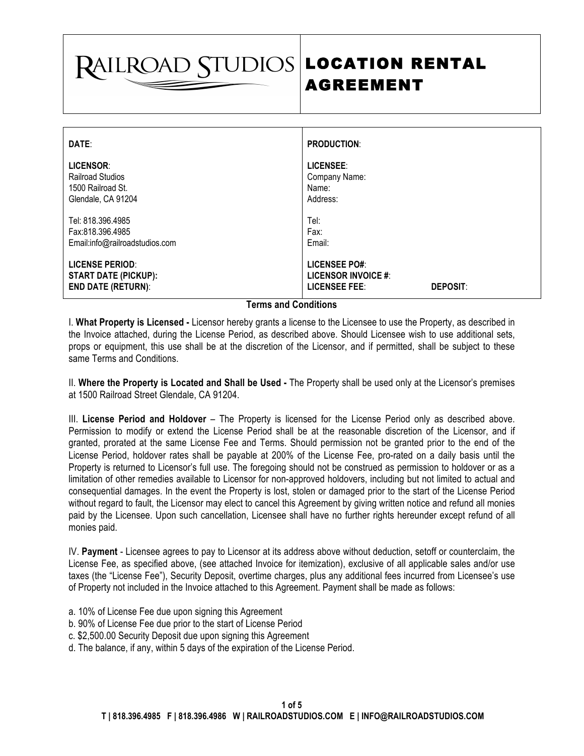# **RAILROAD STUDIOS**

# AGREEMENT LOCATION RENTAL

| DATE:                                                                              | <b>PRODUCTION:</b>                                                                     |
|------------------------------------------------------------------------------------|----------------------------------------------------------------------------------------|
| LICENSOR:<br><b>Railroad Studios</b><br>1500 Railroad St.<br>Glendale, CA 91204    | LICENSEE:<br>Company Name:<br>Name:<br>Address:                                        |
| Tel: 818.396.4985<br>Fax:818.396.4985<br>Email:info@railroadstudios.com            | Tel:<br>Fax:<br>Email:                                                                 |
| <b>LICENSE PERIOD:</b><br><b>START DATE (PICKUP):</b><br><b>END DATE (RETURN):</b> | <b>LICENSEE PO#:</b><br>LICENSOR INVOICE #:<br><b>LICENSEE FEE:</b><br><b>DEPOSIT:</b> |

## **Terms and Conditions**

I. **What Property is Licensed -** Licensor hereby grants a license to the Licensee to use the Property, as described in the Invoice attached, during the License Period, as described above. Should Licensee wish to use additional sets, props or equipment, this use shall be at the discretion of the Licensor, and if permitted, shall be subject to these same Terms and Conditions.

II. **Where the Property is Located and Shall be Used -** The Property shall be used only at the Licensor's premises at 1500 Railroad Street Glendale, CA 91204.

III. **License Period and Holdover** – The Property is licensed for the License Period only as described above. Permission to modify or extend the License Period shall be at the reasonable discretion of the Licensor, and if granted, prorated at the same License Fee and Terms. Should permission not be granted prior to the end of the License Period, holdover rates shall be payable at 200% of the License Fee, pro-rated on a daily basis until the Property is returned to Licensor's full use. The foregoing should not be construed as permission to holdover or as a limitation of other remedies available to Licensor for non-approved holdovers, including but not limited to actual and consequential damages. In the event the Property is lost, stolen or damaged prior to the start of the License Period without regard to fault, the Licensor may elect to cancel this Agreement by giving written notice and refund all monies paid by the Licensee. Upon such cancellation, Licensee shall have no further rights hereunder except refund of all monies paid.

IV. **Payment** - Licensee agrees to pay to Licensor at its address above without deduction, setoff or counterclaim, the License Fee, as specified above, (see attached Invoice for itemization), exclusive of all applicable sales and/or use taxes (the "License Fee"), Security Deposit, overtime charges, plus any additional fees incurred from Licensee's use of Property not included in the Invoice attached to this Agreement. Payment shall be made as follows:

- a. 10% of License Fee due upon signing this Agreement
- b. 90% of License Fee due prior to the start of License Period
- c. \$2,500.00 Security Deposit due upon signing this Agreement
- d. The balance, if any, within 5 days of the expiration of the License Period.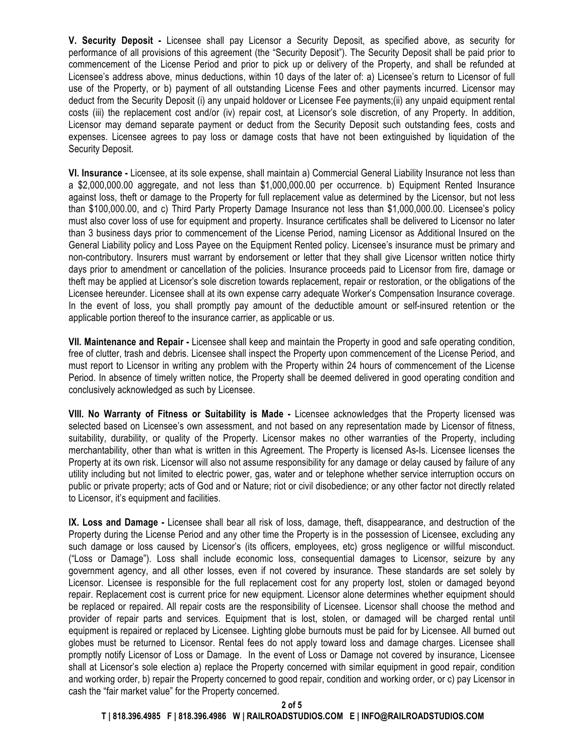**V. Security Deposit -** Licensee shall pay Licensor a Security Deposit, as specified above, as security for performance of all provisions of this agreement (the "Security Deposit"). The Security Deposit shall be paid prior to commencement of the License Period and prior to pick up or delivery of the Property, and shall be refunded at Licensee's address above, minus deductions, within 10 days of the later of: a) Licensee's return to Licensor of full use of the Property, or b) payment of all outstanding License Fees and other payments incurred. Licensor may deduct from the Security Deposit (i) any unpaid holdover or Licensee Fee payments;(ii) any unpaid equipment rental costs (iii) the replacement cost and/or (iv) repair cost, at Licensor's sole discretion, of any Property. In addition, Licensor may demand separate payment or deduct from the Security Deposit such outstanding fees, costs and expenses. Licensee agrees to pay loss or damage costs that have not been extinguished by liquidation of the Security Deposit.

**VI. Insurance -** Licensee, at its sole expense, shall maintain a) Commercial General Liability Insurance not less than a \$2,000,000.00 aggregate, and not less than \$1,000,000.00 per occurrence. b) Equipment Rented Insurance against loss, theft or damage to the Property for full replacement value as determined by the Licensor, but not less than \$100,000.00, and c) Third Party Property Damage Insurance not less than \$1,000,000.00. Licensee's policy must also cover loss of use for equipment and property. Insurance certificates shall be delivered to Licensor no later than 3 business days prior to commencement of the License Period, naming Licensor as Additional Insured on the General Liability policy and Loss Payee on the Equipment Rented policy. Licensee's insurance must be primary and non-contributory. Insurers must warrant by endorsement or letter that they shall give Licensor written notice thirty days prior to amendment or cancellation of the policies. Insurance proceeds paid to Licensor from fire, damage or theft may be applied at Licensor's sole discretion towards replacement, repair or restoration, or the obligations of the Licensee hereunder. Licensee shall at its own expense carry adequate Worker's Compensation Insurance coverage. In the event of loss, you shall promptly pay amount of the deductible amount or self-insured retention or the applicable portion thereof to the insurance carrier, as applicable or us.

**VII. Maintenance and Repair -** Licensee shall keep and maintain the Property in good and safe operating condition, free of clutter, trash and debris. Licensee shall inspect the Property upon commencement of the License Period, and must report to Licensor in writing any problem with the Property within 24 hours of commencement of the License Period. In absence of timely written notice, the Property shall be deemed delivered in good operating condition and conclusively acknowledged as such by Licensee.

**VIII. No Warranty of Fitness or Suitability is Made -** Licensee acknowledges that the Property licensed was selected based on Licensee's own assessment, and not based on any representation made by Licensor of fitness, suitability, durability, or quality of the Property. Licensor makes no other warranties of the Property, including merchantability, other than what is written in this Agreement. The Property is licensed As-Is. Licensee licenses the Property at its own risk. Licensor will also not assume responsibility for any damage or delay caused by failure of any utility including but not limited to electric power, gas, water and or telephone whether service interruption occurs on public or private property; acts of God and or Nature; riot or civil disobedience; or any other factor not directly related to Licensor, it's equipment and facilities.

**IX. Loss and Damage -** Licensee shall bear all risk of loss, damage, theft, disappearance, and destruction of the Property during the License Period and any other time the Property is in the possession of Licensee, excluding any such damage or loss caused by Licensor's (its officers, employees, etc) gross negligence or willful misconduct. ("Loss or Damage"). Loss shall include economic loss, consequential damages to Licensor, seizure by any government agency, and all other losses, even if not covered by insurance. These standards are set solely by Licensor. Licensee is responsible for the full replacement cost for any property lost, stolen or damaged beyond repair. Replacement cost is current price for new equipment. Licensor alone determines whether equipment should be replaced or repaired. All repair costs are the responsibility of Licensee. Licensor shall choose the method and provider of repair parts and services. Equipment that is lost, stolen, or damaged will be charged rental until equipment is repaired or replaced by Licensee. Lighting globe burnouts must be paid for by Licensee. All burned out globes must be returned to Licensor. Rental fees do not apply toward loss and damage charges. Licensee shall promptly notify Licensor of Loss or Damage. In the event of Loss or Damage not covered by insurance, Licensee shall at Licensor's sole election a) replace the Property concerned with similar equipment in good repair, condition and working order, b) repair the Property concerned to good repair, condition and working order, or c) pay Licensor in cash the "fair market value" for the Property concerned.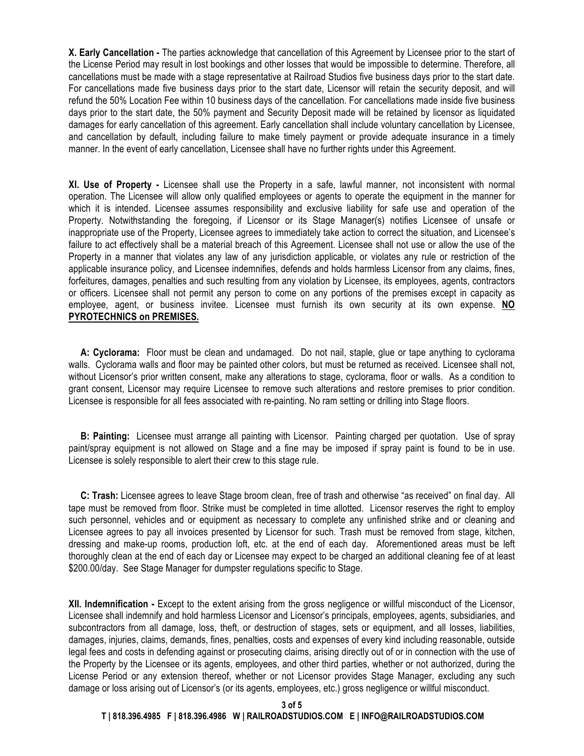**X. Early Cancellation -** The parties acknowledge that cancellation of this Agreement by Licensee prior to the start of the License Period may result in lost bookings and other losses that would be impossible to determine. Therefore, all cancellations must be made with a stage representative at Railroad Studios five business days prior to the start date. For cancellations made five business days prior to the start date, Licensor will retain the security deposit, and will refund the 50% Location Fee within 10 business days of the cancellation. For cancellations made inside five business days prior to the start date, the 50% payment and Security Deposit made will be retained by licensor as liquidated damages for early cancellation of this agreement. Early cancellation shall include voluntary cancellation by Licensee, and cancellation by default, including failure to make timely payment or provide adequate insurance in a timely manner. In the event of early cancellation, Licensee shall have no further rights under this Agreement.

**XI. Use of Property -** Licensee shall use the Property in a safe, lawful manner, not inconsistent with normal operation. The Licensee will allow only qualified employees or agents to operate the equipment in the manner for which it is intended. Licensee assumes responsibility and exclusive liability for safe use and operation of the Property. Notwithstanding the foregoing, if Licensor or its Stage Manager(s) notifies Licensee of unsafe or inappropriate use of the Property, Licensee agrees to immediately take action to correct the situation, and Licensee's failure to act effectively shall be a material breach of this Agreement. Licensee shall not use or allow the use of the Property in a manner that violates any law of any jurisdiction applicable, or violates any rule or restriction of the applicable insurance policy, and Licensee indemnifies, defends and holds harmless Licensor from any claims, fines, forfeitures, damages, penalties and such resulting from any violation by Licensee, its employees, agents, contractors or officers. Licensee shall not permit any person to come on any portions of the premises except in capacity as employee, agent, or business invitee. Licensee must furnish its own security at its own expense. **NO PYROTECHNICS on PREMISES.**

 **A: Cyclorama:** Floor must be clean and undamaged. Do not nail, staple, glue or tape anything to cyclorama walls. Cyclorama walls and floor may be painted other colors, but must be returned as received. Licensee shall not, without Licensor's prior written consent, make any alterations to stage, cyclorama, floor or walls. As a condition to grant consent, Licensor may require Licensee to remove such alterations and restore premises to prior condition. Licensee is responsible for all fees associated with re-painting. No ram setting or drilling into Stage floors.

 **B: Painting:** Licensee must arrange all painting with Licensor. Painting charged per quotation. Use of spray paint/sprav equipment is not allowed on Stage and a fine may be imposed if spray paint is found to be in use. Licensee is solely responsible to alert their crew to this stage rule.

 **C: Trash:** Licensee agrees to leave Stage broom clean, free of trash and otherwise "as received" on final day. All tape must be removed from floor. Strike must be completed in time allotted. Licensor reserves the right to employ such personnel, vehicles and or equipment as necessary to complete any unfinished strike and or cleaning and Licensee agrees to pay all invoices presented by Licensor for such. Trash must be removed from stage, kitchen, dressing and make-up rooms, production loft, etc. at the end of each day. Aforementioned areas must be left thoroughly clean at the end of each day or Licensee may expect to be charged an additional cleaning fee of at least \$200.00/day. See Stage Manager for dumpster regulations specific to Stage.

**XII. Indemnification -** Except to the extent arising from the gross negligence or willful misconduct of the Licensor, Licensee shall indemnify and hold harmless Licensor and Licensor's principals, employees, agents, subsidiaries, and subcontractors from all damage, loss, theft, or destruction of stages, sets or equipment, and all losses, liabilities, damages, injuries, claims, demands, fines, penalties, costs and expenses of every kind including reasonable, outside legal fees and costs in defending against or prosecuting claims, arising directly out of or in connection with the use of the Property by the Licensee or its agents, employees, and other third parties, whether or not authorized, during the License Period or any extension thereof, whether or not Licensor provides Stage Manager, excluding any such damage or loss arising out of Licensor's (or its agents, employees, etc.) gross negligence or willful misconduct.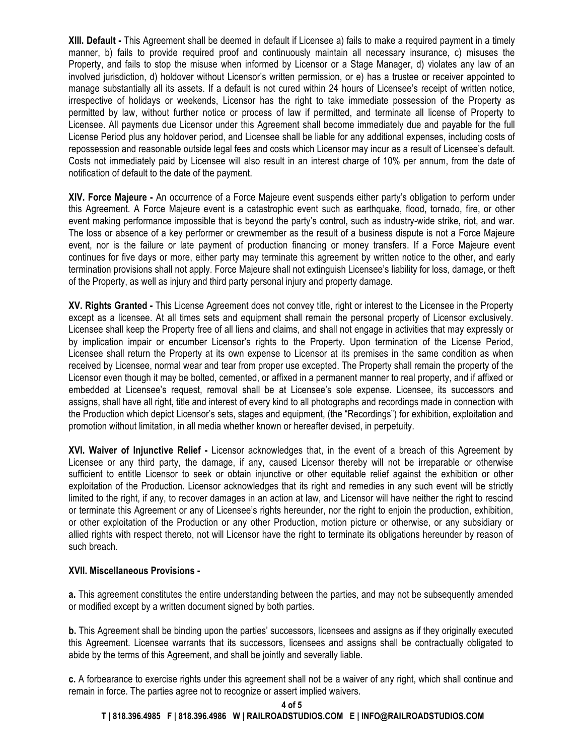**XIII. Default -** This Agreement shall be deemed in default if Licensee a) fails to make a required payment in a timely manner, b) fails to provide required proof and continuously maintain all necessary insurance, c) misuses the Property, and fails to stop the misuse when informed by Licensor or a Stage Manager, d) violates any law of an involved jurisdiction, d) holdover without Licensor's written permission, or e) has a trustee or receiver appointed to manage substantially all its assets. If a default is not cured within 24 hours of Licensee's receipt of written notice, irrespective of holidays or weekends, Licensor has the right to take immediate possession of the Property as permitted by law, without further notice or process of law if permitted, and terminate all license of Property to Licensee. All payments due Licensor under this Agreement shall become immediately due and payable for the full License Period plus any holdover period, and Licensee shall be liable for any additional expenses, including costs of repossession and reasonable outside legal fees and costs which Licensor may incur as a result of Licensee's default. Costs not immediately paid by Licensee will also result in an interest charge of 10% per annum, from the date of notification of default to the date of the payment.

**XIV. Force Majeure -** An occurrence of a Force Majeure event suspends either party's obligation to perform under this Agreement. A Force Majeure event is a catastrophic event such as earthquake, flood, tornado, fire, or other event making performance impossible that is beyond the party's control, such as industry-wide strike, riot, and war. The loss or absence of a key performer or crewmember as the result of a business dispute is not a Force Majeure event, nor is the failure or late payment of production financing or money transfers. If a Force Majeure event continues for five days or more, either party may terminate this agreement by written notice to the other, and early termination provisions shall not apply. Force Majeure shall not extinguish Licensee's liability for loss, damage, or theft of the Property, as well as injury and third party personal injury and property damage.

**XV. Rights Granted -** This License Agreement does not convey title, right or interest to the Licensee in the Property except as a licensee. At all times sets and equipment shall remain the personal property of Licensor exclusively. Licensee shall keep the Property free of all liens and claims, and shall not engage in activities that may expressly or by implication impair or encumber Licensor's rights to the Property. Upon termination of the License Period, Licensee shall return the Property at its own expense to Licensor at its premises in the same condition as when received by Licensee, normal wear and tear from proper use excepted. The Property shall remain the property of the Licensor even though it may be bolted, cemented, or affixed in a permanent manner to real property, and if affixed or embedded at Licensee's request, removal shall be at Licensee's sole expense. Licensee, its successors and assigns, shall have all right, title and interest of every kind to all photographs and recordings made in connection with the Production which depict Licensor's sets, stages and equipment, (the "Recordings") for exhibition, exploitation and promotion without limitation, in all media whether known or hereafter devised, in perpetuity.

**XVI. Waiver of Injunctive Relief -** Licensor acknowledges that, in the event of a breach of this Agreement by Licensee or any third party, the damage, if any, caused Licensor thereby will not be irreparable or otherwise sufficient to entitle Licensor to seek or obtain injunctive or other equitable relief against the exhibition or other exploitation of the Production. Licensor acknowledges that its right and remedies in any such event will be strictly limited to the right, if any, to recover damages in an action at law, and Licensor will have neither the right to rescind or terminate this Agreement or any of Licensee's rights hereunder, nor the right to enjoin the production, exhibition, or other exploitation of the Production or any other Production, motion picture or otherwise, or any subsidiary or allied rights with respect thereto, not will Licensor have the right to terminate its obligations hereunder by reason of such breach.

### **XVII. Miscellaneous Provisions -**

**a.** This agreement constitutes the entire understanding between the parties, and may not be subsequently amended or modified except by a written document signed by both parties.

**b.** This Agreement shall be binding upon the parties' successors, licensees and assigns as if they originally executed this Agreement. Licensee warrants that its successors, licensees and assigns shall be contractually obligated to abide by the terms of this Agreement, and shall be jointly and severally liable.

**c.** A forbearance to exercise rights under this agreement shall not be a waiver of any right, which shall continue and remain in force. The parties agree not to recognize or assert implied waivers.

### **T | 818.396.4985 F | 818.396.4986 W | RAILROADSTUDIOS.COM E | INFO@RAILROADSTUDIOS.COM**